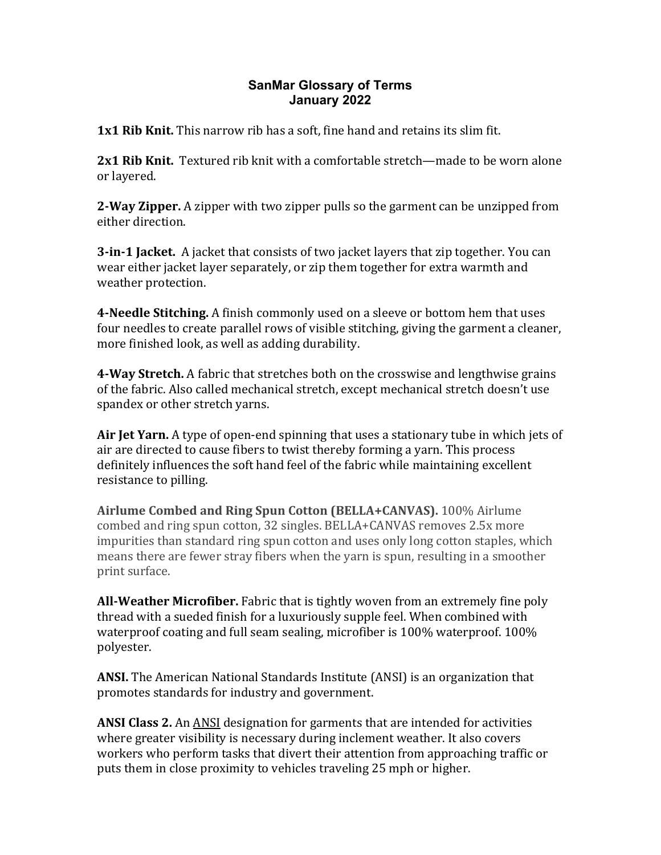## **SanMar Glossary of Terms January 2022**

**1x1 Rib Knit.** This narrow rib has a soft, fine hand and retains its slim fit.

**2x1 Rib Knit.** Textured rib knit with a comfortable stretch—made to be worn alone or layered.

**2-Way Zipper.** A zipper with two zipper pulls so the garment can be unzipped from either direction.

**3-in-1 Jacket.** A jacket that consists of two jacket layers that zip together. You can wear either jacket layer separately, or zip them together for extra warmth and weather protection.

**4-Needle Stitching.** A finish commonly used on a sleeve or bottom hem that uses four needles to create parallel rows of visible stitching, giving the garment a cleaner, more finished look, as well as adding durability.

**4-Way Stretch.** A fabric that stretches both on the crosswise and lengthwise grains of the fabric. Also called mechanical stretch, except mechanical stretch doesn't use spandex or other stretch yarns.

**Air Jet Yarn.** A type of open-end spinning that uses a stationary tube in which jets of air are directed to cause fibers to twist thereby forming a yarn. This process definitely influences the soft hand feel of the fabric while maintaining excellent resistance to pilling.

**Airlume Combed and Ring Spun Cotton (BELLA+CANVAS).** 100% Airlume combed and ring spun cotton, 32 singles. BELLA+CANVAS removes 2.5x more impurities than standard ring spun cotton and uses only long cotton staples, which means there are fewer stray fibers when the yarn is spun, resulting in a smoother print surface.

**All-Weather Microfiber.** Fabric that is tightly woven from an extremely fine poly thread with a sueded finish for a luxuriously supple feel. When combined with waterproof coating and full seam sealing, microfiber is  $100\%$  waterproof.  $100\%$ polyester. 

**ANSI.** The American National Standards Institute (ANSI) is an organization that promotes standards for industry and government.

**ANSI Class 2.** An **ANSI** designation for garments that are intended for activities where greater visibility is necessary during inclement weather. It also covers workers who perform tasks that divert their attention from approaching traffic or puts them in close proximity to vehicles traveling 25 mph or higher.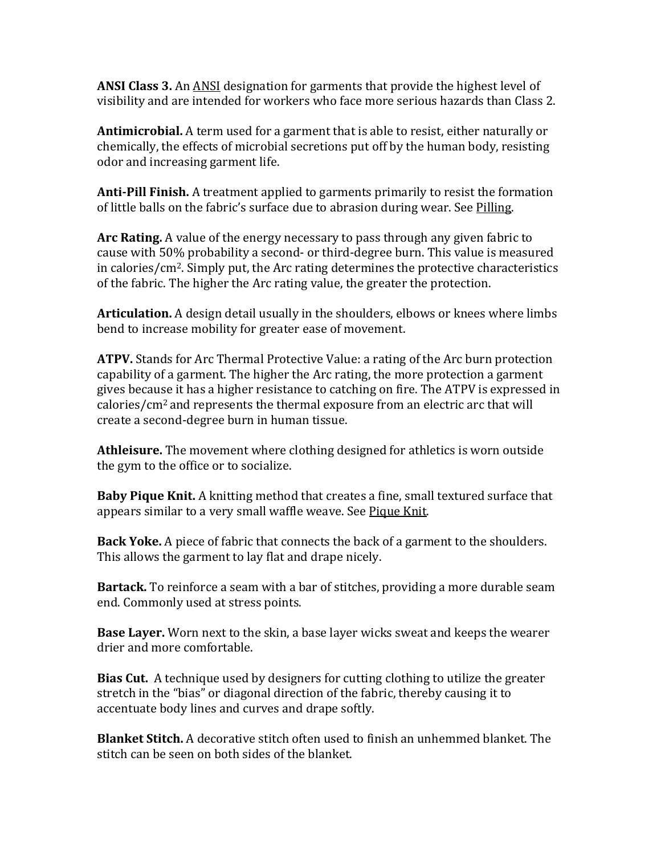**ANSI Class 3.** An **ANSI** designation for garments that provide the highest level of visibility and are intended for workers who face more serious hazards than Class 2.

**Antimicrobial.** A term used for a garment that is able to resist, either naturally or chemically, the effects of microbial secretions put off by the human body, resisting odor and increasing garment life.

**Anti-Pill Finish.** A treatment applied to garments primarily to resist the formation of little balls on the fabric's surface due to abrasion during wear. See Pilling.

**Arc Rating.** A value of the energy necessary to pass through any given fabric to cause with 50% probability a second- or third-degree burn. This value is measured in calories/ $\rm cm^2$ . Simply put, the Arc rating determines the protective characteristics of the fabric. The higher the Arc rating value, the greater the protection.

**Articulation.** A design detail usually in the shoulders, elbows or knees where limbs bend to increase mobility for greater ease of movement.

**ATPV.** Stands for Arc Thermal Protective Value: a rating of the Arc burn protection capability of a garment. The higher the Arc rating, the more protection a garment gives because it has a higher resistance to catching on fire. The ATPV is expressed in calories/ $\text{cm}^2$  and represents the thermal exposure from an electric arc that will create a second-degree burn in human tissue.

**Athleisure.** The movement where clothing designed for athletics is worn outside the gym to the office or to socialize.

**Baby Pique Knit.** A knitting method that creates a fine, small textured surface that appears similar to a very small waffle weave. See Pique Knit.

**Back Yoke.** A piece of fabric that connects the back of a garment to the shoulders. This allows the garment to lay flat and drape nicely.

**Bartack.** To reinforce a seam with a bar of stitches, providing a more durable seam end. Commonly used at stress points.

**Base Layer.** Worn next to the skin, a base layer wicks sweat and keeps the wearer drier and more comfortable.

**Bias Cut.** A technique used by designers for cutting clothing to utilize the greater stretch in the "bias" or diagonal direction of the fabric, thereby causing it to accentuate body lines and curves and drape softly.

**Blanket Stitch.** A decorative stitch often used to finish an unhemmed blanket. The stitch can be seen on both sides of the blanket.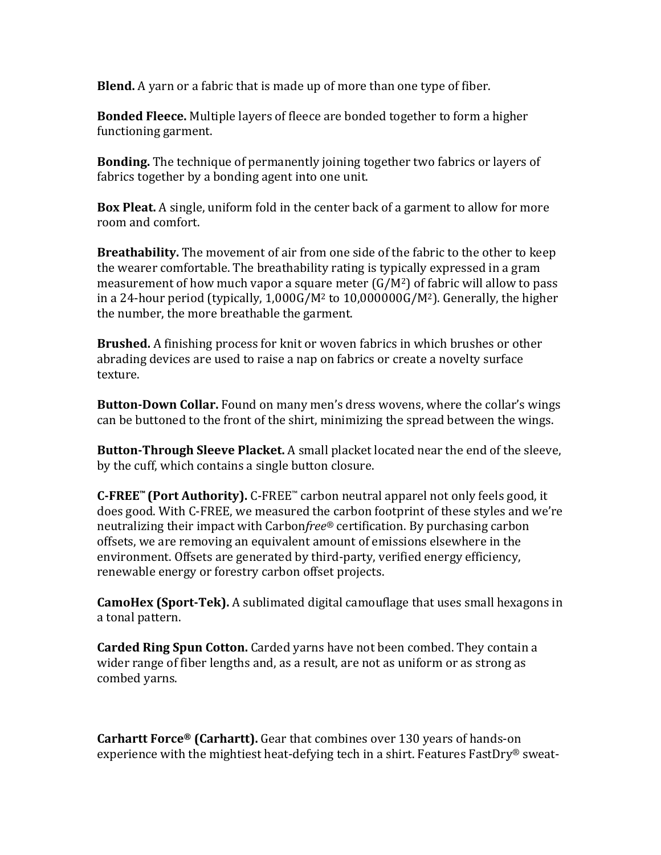**Blend.** A varn or a fabric that is made up of more than one type of fiber.

**Bonded Fleece.** Multiple layers of fleece are bonded together to form a higher functioning garment.

**Bonding.** The technique of permanently joining together two fabrics or layers of fabrics together by a bonding agent into one unit.

**Box Pleat.** A single, uniform fold in the center back of a garment to allow for more room and comfort.

**Breathability.** The movement of air from one side of the fabric to the other to keep the wearer comfortable. The breathability rating is typically expressed in a gram measurement of how much vapor a square meter  $(G/M^2)$  of fabric will allow to pass in a 24-hour period (typically,  $1,000G/M^2$  to  $10,000000G/M^2$ ). Generally, the higher the number, the more breathable the garment.

**Brushed.** A finishing process for knit or woven fabrics in which brushes or other abrading devices are used to raise a nap on fabrics or create a novelty surface texture. 

**Button-Down Collar.** Found on many men's dress wovens, where the collar's wings can be buttoned to the front of the shirt, minimizing the spread between the wings.

**Button-Through Sleeve Placket.** A small placket located near the end of the sleeve, by the cuff, which contains a single button closure.

**C-FREE™** (Port Authority). C-FREE™ carbon neutral apparel not only feels good, it does good. With C-FREE, we measured the carbon footprint of these styles and we're neutralizing their impact with Carbon*free*® certification. By purchasing carbon offsets, we are removing an equivalent amount of emissions elsewhere in the environment. Offsets are generated by third-party, verified energy efficiency, renewable energy or forestry carbon offset projects.

**CamoHex (Sport-Tek).** A sublimated digital camouflage that uses small hexagons in a tonal pattern.

**Carded Ring Spun Cotton.** Carded yarns have not been combed. They contain a wider range of fiber lengths and, as a result, are not as uniform or as strong as combed yarns.

**Carhartt Force<sup>®</sup> (Carhartt).** Gear that combines over 130 years of hands-on experience with the mightiest heat-defying tech in a shirt. Features FastDry<sup>®</sup> sweat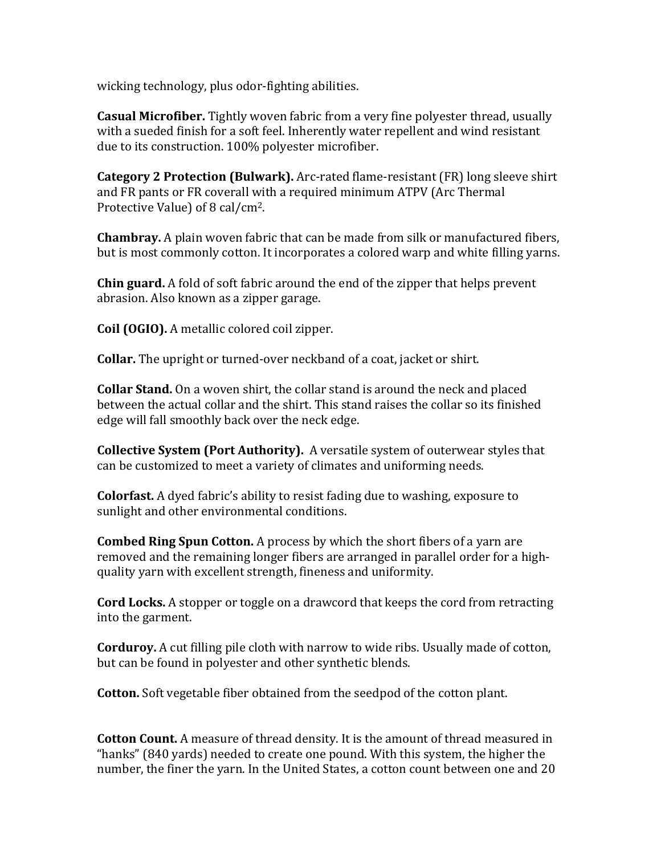wicking technology, plus odor-fighting abilities.

**Casual Microfiber.** Tightly woven fabric from a very fine polyester thread, usually with a sueded finish for a soft feel. Inherently water repellent and wind resistant due to its construction. 100% polyester microfiber.

**Category 2 Protection (Bulwark).** Arc-rated flame-resistant (FR) long sleeve shirt and FR pants or FR coverall with a required minimum ATPV (Arc Thermal Protective Value) of 8 cal/cm<sup>2</sup>.

**Chambray.** A plain woven fabric that can be made from silk or manufactured fibers, but is most commonly cotton. It incorporates a colored warp and white filling varns.

**Chin guard.** A fold of soft fabric around the end of the zipper that helps prevent abrasion. Also known as a zipper garage.

**Coil (OGIO).** A metallic colored coil zipper.

**Collar.** The upright or turned-over neckband of a coat, jacket or shirt.

**Collar Stand.** On a woven shirt, the collar stand is around the neck and placed between the actual collar and the shirt. This stand raises the collar so its finished edge will fall smoothly back over the neck edge.

**Collective System (Port Authority).** A versatile system of outerwear styles that can be customized to meet a variety of climates and uniforming needs.

**Colorfast.** A dyed fabric's ability to resist fading due to washing, exposure to sunlight and other environmental conditions.

**Combed Ring Spun Cotton.** A process by which the short fibers of a yarn are removed and the remaining longer fibers are arranged in parallel order for a highquality varn with excellent strength, fineness and uniformity.

**Cord Locks.** A stopper or toggle on a drawcord that keeps the cord from retracting into the garment.

**Corduroy.** A cut filling pile cloth with narrow to wide ribs. Usually made of cotton, but can be found in polyester and other synthetic blends.

**Cotton.** Soft vegetable fiber obtained from the seedpod of the cotton plant.

**Cotton Count.** A measure of thread density. It is the amount of thread measured in "hanks" (840 yards) needed to create one pound. With this system, the higher the number, the finer the yarn. In the United States, a cotton count between one and 20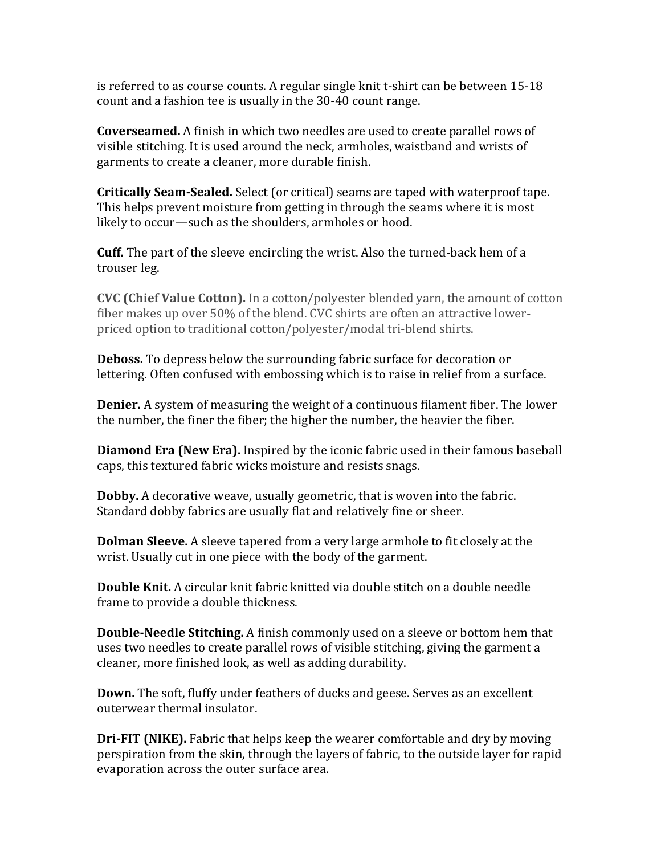is referred to as course counts. A regular single knit t-shirt can be between  $15-18$ count and a fashion tee is usually in the 30-40 count range.

**Coverseamed.** A finish in which two needles are used to create parallel rows of visible stitching. It is used around the neck, armholes, waistband and wrists of garments to create a cleaner, more durable finish.

**Critically Seam-Sealed.** Select (or critical) seams are taped with waterproof tape. This helps prevent moisture from getting in through the seams where it is most likely to occur—such as the shoulders, armholes or hood.

**Cuff.** The part of the sleeve encircling the wrist. Also the turned-back hem of a trouser leg.

**CVC** (Chief Value Cotton). In a cotton/polyester blended yarn, the amount of cotton fiber makes up over 50% of the blend. CVC shirts are often an attractive lowerpriced option to traditional cotton/polyester/modal tri-blend shirts.

**Deboss.** To depress below the surrounding fabric surface for decoration or lettering. Often confused with embossing which is to raise in relief from a surface.

**Denier.** A system of measuring the weight of a continuous filament fiber. The lower the number, the finer the fiber; the higher the number, the heavier the fiber.

**Diamond Era (New Era).** Inspired by the iconic fabric used in their famous baseball caps, this textured fabric wicks moisture and resists snags.

**Dobby.** A decorative weave, usually geometric, that is woven into the fabric. Standard dobby fabrics are usually flat and relatively fine or sheer.

**Dolman Sleeve.** A sleeve tapered from a very large armhole to fit closely at the wrist. Usually cut in one piece with the body of the garment.

**Double Knit.** A circular knit fabric knitted via double stitch on a double needle frame to provide a double thickness.

**Double-Needle Stitching.** A finish commonly used on a sleeve or bottom hem that uses two needles to create parallel rows of visible stitching, giving the garment a cleaner, more finished look, as well as adding durability.

**Down.** The soft, fluffy under feathers of ducks and geese. Serves as an excellent outerwear thermal insulator.

**Dri-FIT (NIKE).** Fabric that helps keep the wearer comfortable and dry by moving perspiration from the skin, through the layers of fabric, to the outside layer for rapid evaporation across the outer surface area.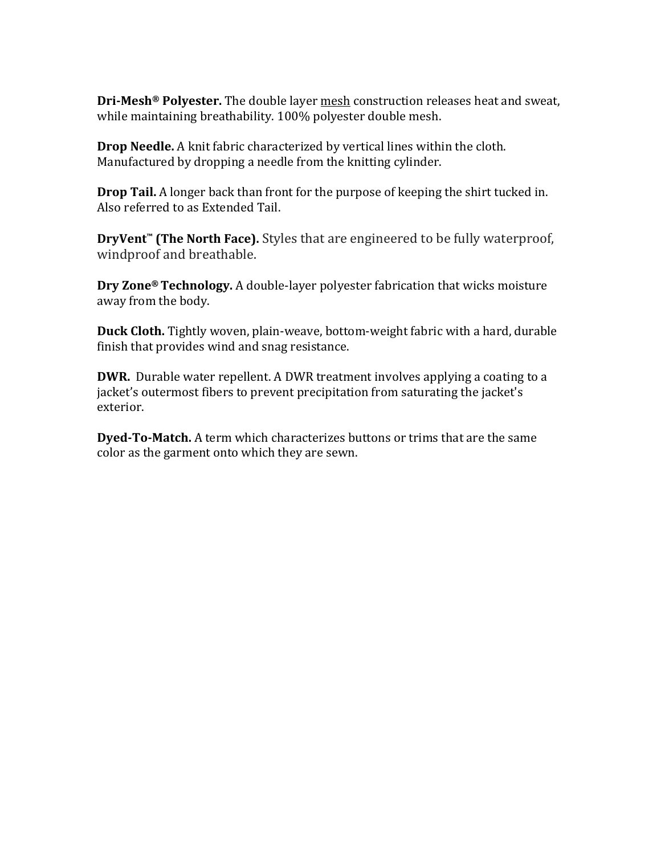**Dri-Mesh<sup>®</sup> Polyester.** The double layer mesh construction releases heat and sweat, while maintaining breathability. 100% polyester double mesh.

**Drop Needle.** A knit fabric characterized by vertical lines within the cloth. Manufactured by dropping a needle from the knitting cylinder.

**Drop Tail.** A longer back than front for the purpose of keeping the shirt tucked in. Also referred to as Extended Tail.

**DryVent<sup>™</sup> (The North Face).** Styles that are engineered to be fully waterproof, windproof and breathable.

**Dry Zone® Technology.** A double-layer polyester fabrication that wicks moisture away from the body.

**Duck Cloth.** Tightly woven, plain-weave, bottom-weight fabric with a hard, durable finish that provides wind and snag resistance.

**DWR.** Durable water repellent. A DWR treatment involves applying a coating to a jacket's outermost fibers to prevent precipitation from saturating the jacket's exterior.

**Dyed-To-Match.** A term which characterizes buttons or trims that are the same color as the garment onto which they are sewn.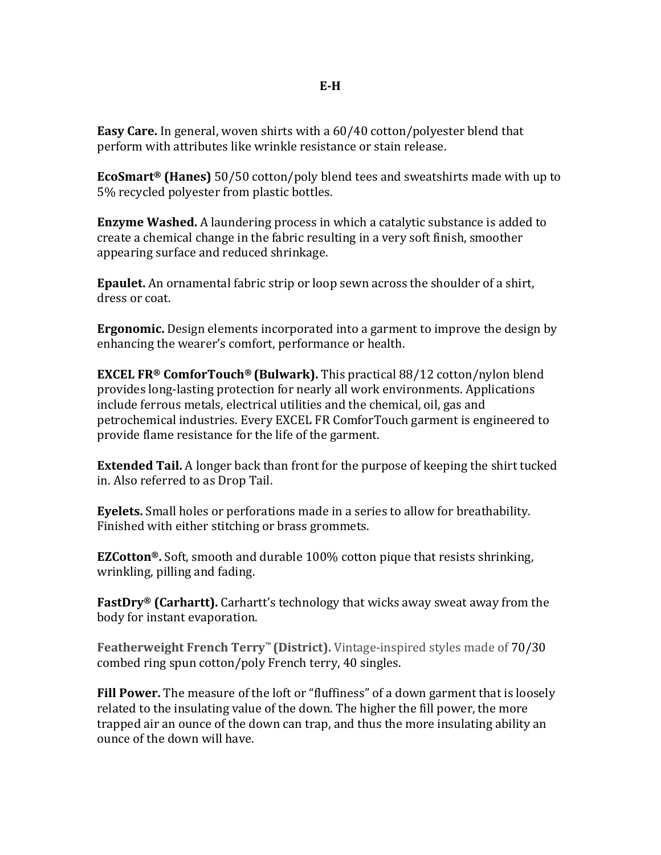**Easy Care.** In general, woven shirts with a 60/40 cotton/polyester blend that perform with attributes like wrinkle resistance or stain release.

**EcoSmart<sup>®</sup> (Hanes)** 50/50 cotton/poly blend tees and sweatshirts made with up to 5% recycled polyester from plastic bottles.

**Enzyme Washed.** A laundering process in which a catalytic substance is added to create a chemical change in the fabric resulting in a very soft finish, smoother appearing surface and reduced shrinkage.

**Epaulet.** An ornamental fabric strip or loop sewn across the shoulder of a shirt, dress or coat.

**Ergonomic.** Design elements incorporated into a garment to improve the design by enhancing the wearer's comfort, performance or health.

**EXCEL FR®** ComforTouch<sup>®</sup> (Bulwark). This practical 88/12 cotton/nylon blend provides long-lasting protection for nearly all work environments. Applications include ferrous metals, electrical utilities and the chemical, oil, gas and petrochemical industries. Every EXCEL FR ComforTouch garment is engineered to provide flame resistance for the life of the garment.

**Extended Tail.** A longer back than front for the purpose of keeping the shirt tucked in. Also referred to as Drop Tail.

**Eyelets.** Small holes or perforations made in a series to allow for breathability. Finished with either stitching or brass grommets.

**EZCotton<sup>®</sup>.** Soft, smooth and durable 100% cotton pique that resists shrinking, wrinkling, pilling and fading.

**FastDry®** (Carhartt). Carhartt's technology that wicks away sweat away from the body for instant evaporation.

**Featherweight French Terry™ (District).** Vintage-inspired styles made of 70/30 combed ring spun cotton/poly French terry, 40 singles.

**Fill Power.** The measure of the loft or "fluffiness" of a down garment that is loosely related to the insulating value of the down. The higher the fill power, the more trapped air an ounce of the down can trap, and thus the more insulating ability an ounce of the down will have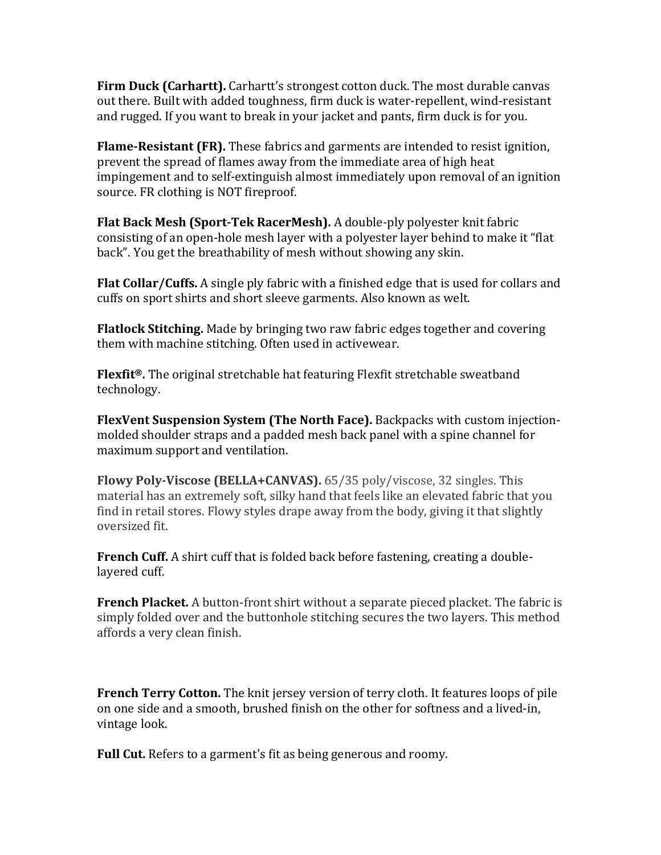**Firm Duck (Carhartt).** Carhartt's strongest cotton duck. The most durable canvas out there. Built with added toughness, firm duck is water-repellent, wind-resistant and rugged. If you want to break in your jacket and pants, firm duck is for you.

**Flame-Resistant (FR).** These fabrics and garments are intended to resist ignition, prevent the spread of flames away from the immediate area of high heat impingement and to self-extinguish almost immediately upon removal of an ignition source. FR clothing is NOT fireproof.

**Flat Back Mesh (Sport-Tek RacerMesh).** A double-ply polyester knit fabric consisting of an open-hole mesh layer with a polyester layer behind to make it "flat back". You get the breathability of mesh without showing any skin.

**Flat Collar/Cuffs.** A single ply fabric with a finished edge that is used for collars and cuffs on sport shirts and short sleeve garments. Also known as welt.

**Flatlock Stitching.** Made by bringing two raw fabric edges together and covering them with machine stitching. Often used in activewear.

**Flexfit<sup>®</sup>.** The original stretchable hat featuring Flexfit stretchable sweatband technology.

**FlexVent Suspension System (The North Face).** Backpacks with custom injectionmolded shoulder straps and a padded mesh back panel with a spine channel for maximum support and ventilation.

**Flowy Poly-Viscose (BELLA+CANVAS).** 65/35 poly/viscose, 32 singles. This material has an extremely soft, silky hand that feels like an elevated fabric that you find in retail stores. Flowy styles drape away from the body, giving it that slightly oversized fit.

**French Cuff.** A shirt cuff that is folded back before fastening, creating a doublelayered cuff.

**French Placket.** A button-front shirt without a separate pieced placket. The fabric is simply folded over and the buttonhole stitching secures the two layers. This method affords a very clean finish.

**French Terry Cotton.** The knit jersey version of terry cloth. It features loops of pile on one side and a smooth, brushed finish on the other for softness and a lived-in, vintage look.

**Full Cut.** Refers to a garment's fit as being generous and roomy.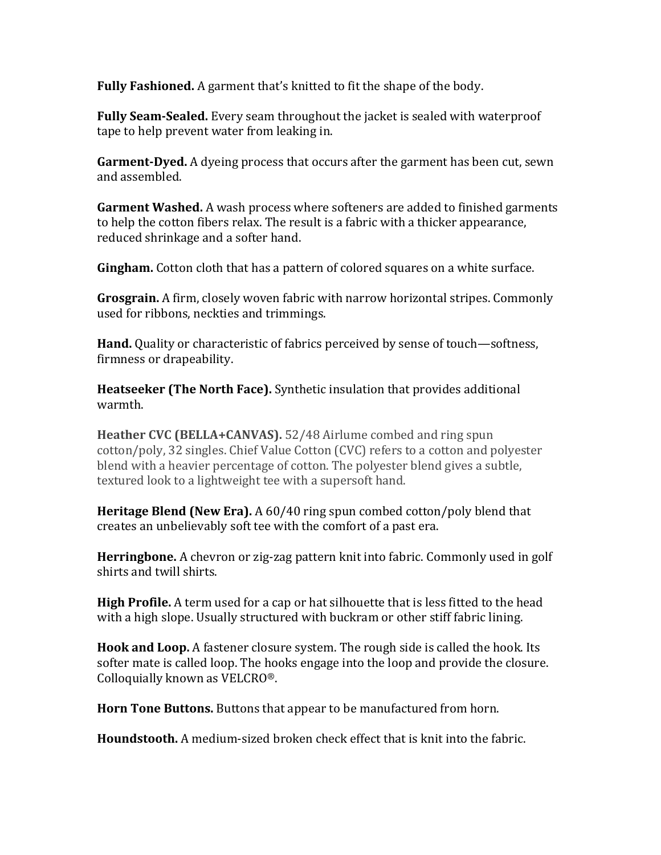**Fully Fashioned.** A garment that's knitted to fit the shape of the body.

**Fully Seam-Sealed.** Every seam throughout the jacket is sealed with waterproof tape to help prevent water from leaking in.

**Garment-Dyed.** A dyeing process that occurs after the garment has been cut, sewn and assembled.

**Garment Washed.** A wash process where softeners are added to finished garments to help the cotton fibers relax. The result is a fabric with a thicker appearance, reduced shrinkage and a softer hand.

**Gingham.** Cotton cloth that has a pattern of colored squares on a white surface.

**Grosgrain.** A firm, closely woven fabric with narrow horizontal stripes. Commonly used for ribbons, neckties and trimmings.

**Hand.** Quality or characteristic of fabrics perceived by sense of touch—softness, firmness or drapeability.

**Heatseeker (The North Face).** Synthetic insulation that provides additional warmth.

**Heather CVC (BELLA+CANVAS).** 52/48 Airlume combed and ring spun cotton/poly, 32 singles. Chief Value Cotton (CVC) refers to a cotton and polyester blend with a heavier percentage of cotton. The polyester blend gives a subtle, textured look to a lightweight tee with a supersoft hand.

**Heritage Blend (New Era).** A 60/40 ring spun combed cotton/poly blend that creates an unbelievably soft tee with the comfort of a past era.

**Herringbone.** A chevron or zig-zag pattern knit into fabric. Commonly used in golf shirts and twill shirts.

**High Profile.** A term used for a cap or hat silhouette that is less fitted to the head with a high slope. Usually structured with buckram or other stiff fabric lining.

**Hook and Loop.** A fastener closure system. The rough side is called the hook. Its softer mate is called loop. The hooks engage into the loop and provide the closure. Colloquially known as VELCRO®.

**Horn Tone Buttons.** Buttons that appear to be manufactured from horn.

**Houndstooth.** A medium-sized broken check effect that is knit into the fabric.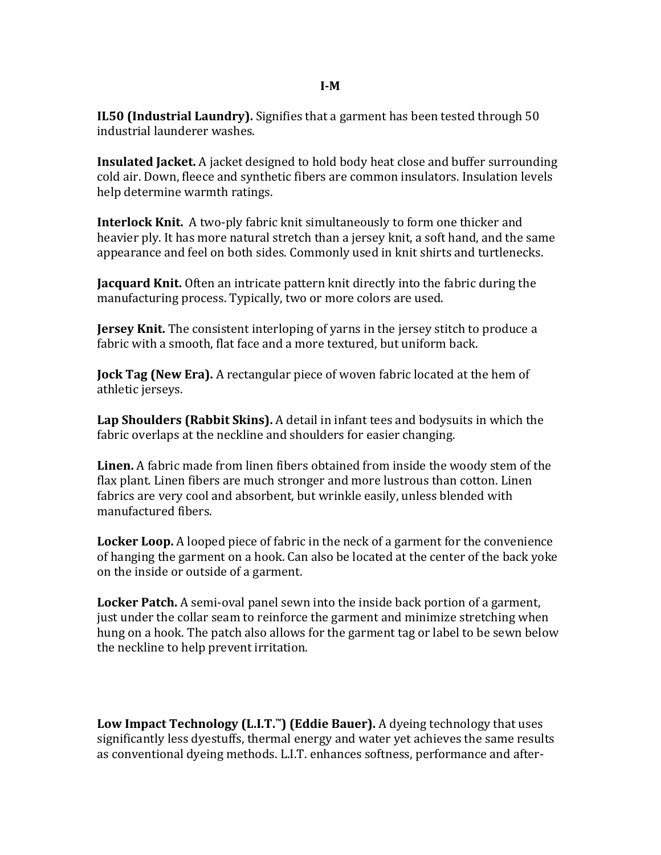## **I-M**

**IL50 (Industrial Laundry).** Signifies that a garment has been tested through 50 industrial launderer washes.

**Insulated Jacket.** A jacket designed to hold body heat close and buffer surrounding cold air. Down, fleece and synthetic fibers are common insulators. Insulation levels help determine warmth ratings.

**Interlock Knit.** A two-ply fabric knit simultaneously to form one thicker and heavier ply. It has more natural stretch than a jersey knit, a soft hand, and the same appearance and feel on both sides. Commonly used in knit shirts and turtlenecks.

**Jacquard Knit.** Often an intricate pattern knit directly into the fabric during the manufacturing process. Typically, two or more colors are used.

**Jersey Knit.** The consistent interloping of yarns in the jersey stitch to produce a fabric with a smooth, flat face and a more textured, but uniform back.

**Jock Tag (New Era).** A rectangular piece of woven fabric located at the hem of athletic jerseys.

**Lap Shoulders (Rabbit Skins).** A detail in infant tees and bodysuits in which the fabric overlaps at the neckline and shoulders for easier changing.

**Linen.** A fabric made from linen fibers obtained from inside the woody stem of the flax plant. Linen fibers are much stronger and more lustrous than cotton. Linen fabrics are very cool and absorbent, but wrinkle easily, unless blended with manufactured fibers.

**Locker Loop.** A looped piece of fabric in the neck of a garment for the convenience of hanging the garment on a hook. Can also be located at the center of the back yoke on the inside or outside of a garment.

**Locker Patch.** A semi-oval panel sewn into the inside back portion of a garment, just under the collar seam to reinforce the garment and minimize stretching when hung on a hook. The patch also allows for the garment tag or label to be sewn below the neckline to help prevent irritation.

**Low Impact Technology (L.I.T.™) (Eddie Bauer).** A dyeing technology that uses significantly less dyestuffs, thermal energy and water yet achieves the same results as conventional dyeing methods. L.I.T. enhances softness, performance and after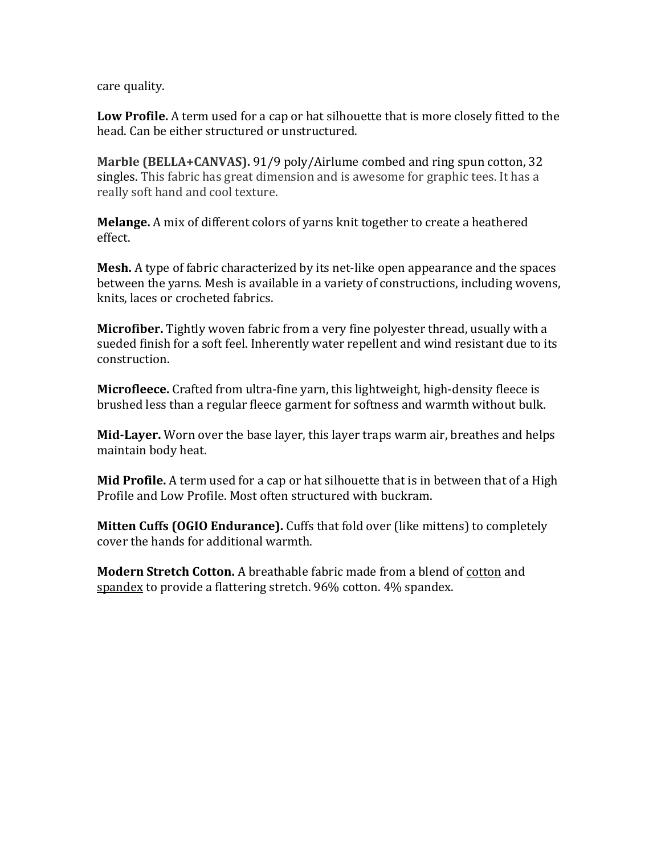care quality.

Low Profile. A term used for a cap or hat silhouette that is more closely fitted to the head. Can be either structured or unstructured.

Marble (BELLA+CANVAS). 91/9 poly/Airlume combed and ring spun cotton, 32 singles. This fabric has great dimension and is awesome for graphic tees. It has a really soft hand and cool texture.

**Melange.** A mix of different colors of yarns knit together to create a heathered effect.

**Mesh.** A type of fabric characterized by its net-like open appearance and the spaces between the yarns. Mesh is available in a variety of constructions, including wovens, knits, laces or crocheted fabrics.

**Microfiber.** Tightly woven fabric from a very fine polyester thread, usually with a sueded finish for a soft feel. Inherently water repellent and wind resistant due to its construction. 

**Microfleece.** Crafted from ultra-fine varn, this lightweight, high-density fleece is brushed less than a regular fleece garment for softness and warmth without bulk.

**Mid-Layer.** Worn over the base layer, this layer traps warm air, breathes and helps maintain body heat.

**Mid Profile.** A term used for a cap or hat silhouette that is in between that of a High Profile and Low Profile. Most often structured with buckram.

**Mitten Cuffs (OGIO Endurance).** Cuffs that fold over (like mittens) to completely cover the hands for additional warmth.

**Modern Stretch Cotton.** A breathable fabric made from a blend of cotton and spandex to provide a flattering stretch. 96% cotton. 4% spandex.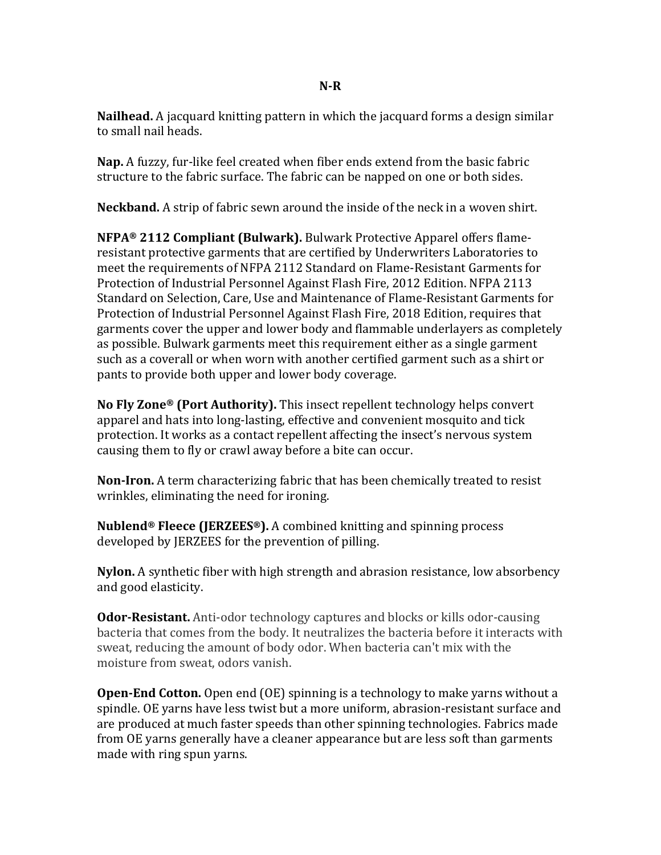**N-R**

**Nailhead.** A jacquard knitting pattern in which the jacquard forms a design similar to small nail heads.

**Nap.** A fuzzy, fur-like feel created when fiber ends extend from the basic fabric structure to the fabric surface. The fabric can be napped on one or both sides.

**Neckband.** A strip of fabric sewn around the inside of the neck in a woven shirt.

**NFPA®** 2112 Compliant (Bulwark). Bulwark Protective Apparel offers flameresistant protective garments that are certified by Underwriters Laboratories to meet the requirements of NFPA 2112 Standard on Flame-Resistant Garments for Protection of Industrial Personnel Against Flash Fire, 2012 Edition. NFPA 2113 Standard on Selection, Care, Use and Maintenance of Flame-Resistant Garments for Protection of Industrial Personnel Against Flash Fire, 2018 Edition, requires that garments cover the upper and lower body and flammable underlayers as completely as possible. Bulwark garments meet this requirement either as a single garment such as a coverall or when worn with another certified garment such as a shirt or pants to provide both upper and lower body coverage.

**No Fly Zone® (Port Authority).** This insect repellent technology helps convert apparel and hats into long-lasting, effective and convenient mosquito and tick protection. It works as a contact repellent affecting the insect's nervous system causing them to fly or crawl away before a bite can occur.

**Non-Iron.** A term characterizing fabric that has been chemically treated to resist wrinkles, eliminating the need for ironing.

**Nublend<sup>®</sup> Fleece (JERZEES<sup>®</sup>).** A combined knitting and spinning process developed by JERZEES for the prevention of pilling.

**Nylon.** A synthetic fiber with high strength and abrasion resistance, low absorbency and good elasticity.

**Odor-Resistant.** Anti-odor technology captures and blocks or kills odor-causing bacteria that comes from the body. It neutralizes the bacteria before it interacts with sweat, reducing the amount of body odor. When bacteria can't mix with the moisture from sweat, odors vanish.

**Open-End Cotton.** Open end (OE) spinning is a technology to make yarns without a spindle. OE varns have less twist but a more uniform, abrasion-resistant surface and are produced at much faster speeds than other spinning technologies. Fabrics made from OE yarns generally have a cleaner appearance but are less soft than garments made with ring spun yarns.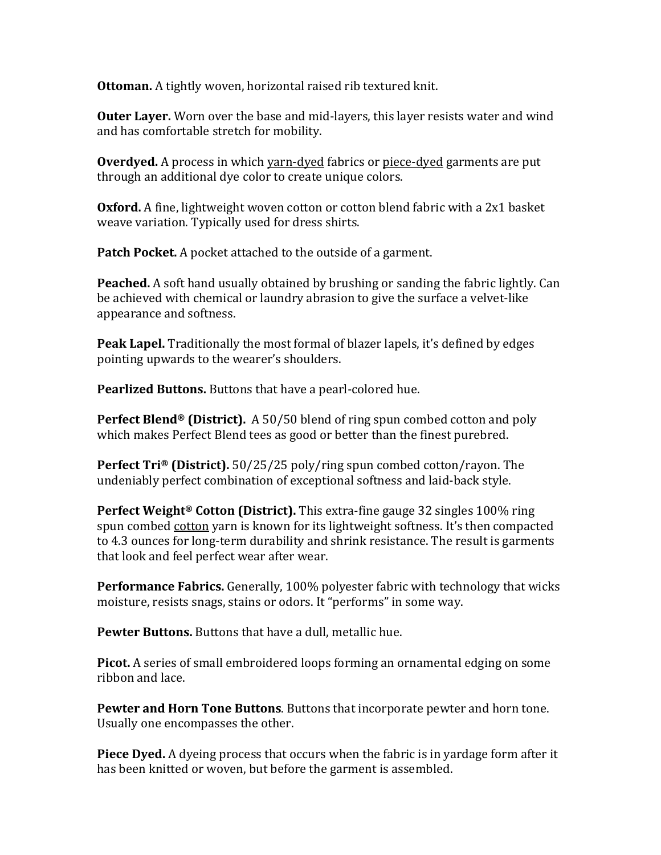**Ottoman.** A tightly woven, horizontal raised rib textured knit.

**Outer Layer.** Worn over the base and mid-layers, this layer resists water and wind and has comfortable stretch for mobility.

**Overdyed.** A process in which yarn-dyed fabrics or piece-dyed garments are put through an additional dye color to create unique colors.

**Oxford.** A fine, lightweight woven cotton or cotton blend fabric with a 2x1 basket weave variation. Typically used for dress shirts.

**Patch Pocket.** A pocket attached to the outside of a garment.

**Peached.** A soft hand usually obtained by brushing or sanding the fabric lightly. Can be achieved with chemical or laundry abrasion to give the surface a velvet-like appearance and softness.

**Peak Lapel.** Traditionally the most formal of blazer lapels, it's defined by edges pointing upwards to the wearer's shoulders.

**Pearlized Buttons.** Buttons that have a pearl-colored hue.

**Perfect Blend®** (District). A 50/50 blend of ring spun combed cotton and poly which makes Perfect Blend tees as good or better than the finest purebred.

**Perfect Tri<sup>®</sup> (District).** 50/25/25 poly/ring spun combed cotton/rayon. The undeniably perfect combination of exceptional softness and laid-back style.

**Perfect Weight<sup>®</sup> Cotton (District).** This extra-fine gauge 32 singles 100% ring spun combed cotton yarn is known for its lightweight softness. It's then compacted to 4.3 ounces for long-term durability and shrink resistance. The result is garments that look and feel perfect wear after wear.

**Performance Fabrics.** Generally, 100% polyester fabric with technology that wicks moisture, resists snags, stains or odors. It "performs" in some way.

**Pewter Buttons.** Buttons that have a dull, metallic hue.

**Picot.** A series of small embroidered loops forming an ornamental edging on some ribbon and lace.

**Pewter and Horn Tone Buttons.** Buttons that incorporate pewter and horn tone. Usually one encompasses the other.

**Piece Dyed.** A dyeing process that occurs when the fabric is in yardage form after it has been knitted or woven, but before the garment is assembled.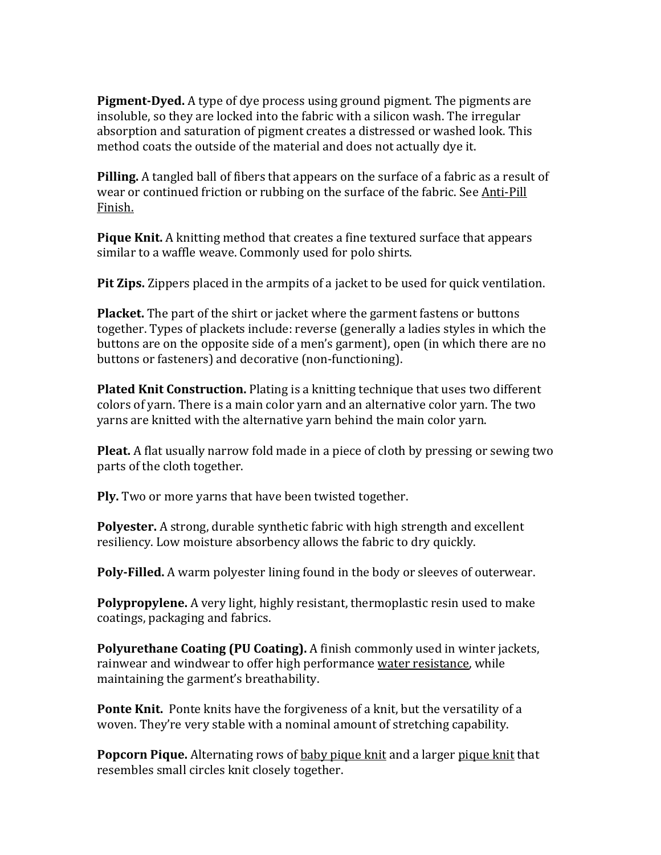**Pigment-Dyed.** A type of dye process using ground pigment. The pigments are insoluble, so they are locked into the fabric with a silicon wash. The irregular absorption and saturation of pigment creates a distressed or washed look. This method coats the outside of the material and does not actually dye it.

**Pilling.** A tangled ball of fibers that appears on the surface of a fabric as a result of wear or continued friction or rubbing on the surface of the fabric. See Anti-Pill Finish.

**Pique Knit.** A knitting method that creates a fine textured surface that appears similar to a waffle weave. Commonly used for polo shirts.

**Pit Zips.** Zippers placed in the armpits of a jacket to be used for quick ventilation.

**Placket.** The part of the shirt or jacket where the garment fastens or buttons together. Types of plackets include: reverse (generally a ladies styles in which the buttons are on the opposite side of a men's garment), open (in which there are no buttons or fasteners) and decorative (non-functioning).

**Plated Knit Construction.** Plating is a knitting technique that uses two different colors of varn. There is a main color varn and an alternative color varn. The two yarns are knitted with the alternative yarn behind the main color yarn.

**Pleat.** A flat usually narrow fold made in a piece of cloth by pressing or sewing two parts of the cloth together.

**Ply.** Two or more yarns that have been twisted together.

Polyester. A strong, durable synthetic fabric with high strength and excellent resiliency. Low moisture absorbency allows the fabric to dry quickly.

**Poly-Filled.** A warm polyester lining found in the body or sleeves of outerwear.

**Polypropylene.** A very light, highly resistant, thermoplastic resin used to make coatings, packaging and fabrics.

**Polyurethane Coating (PU Coating).** A finish commonly used in winter jackets, rainwear and windwear to offer high performance water resistance, while maintaining the garment's breathability.

**Ponte Knit.** Ponte knits have the forgiveness of a knit, but the versatility of a woven. They're very stable with a nominal amount of stretching capability.

**Popcorn Pique.** Alternating rows of baby pique knit and a larger pique knit that resembles small circles knit closely together.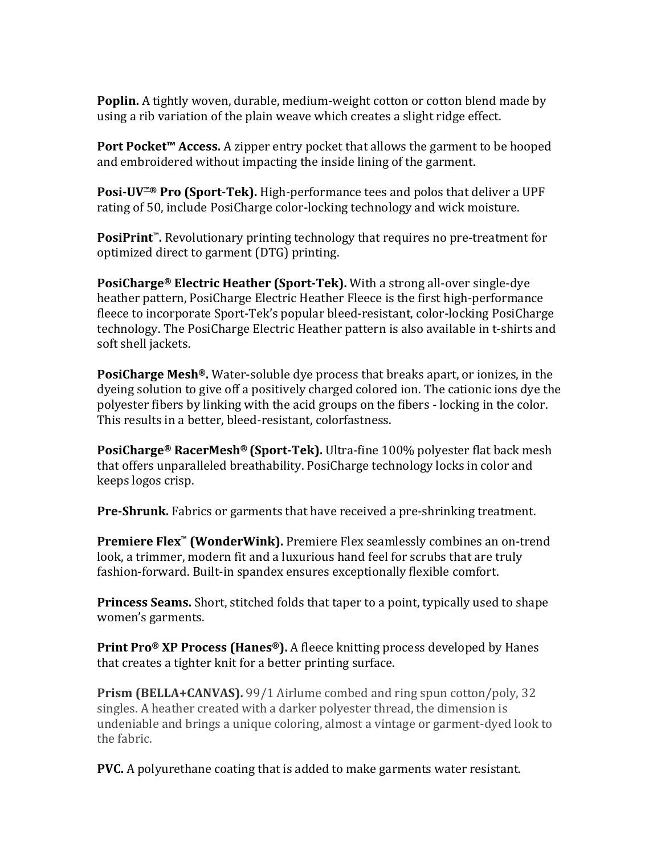**Poplin.** A tightly woven, durable, medium-weight cotton or cotton blend made by using a rib variation of the plain weave which creates a slight ridge effect.

**Port Pocket™ Access.** A zipper entry pocket that allows the garment to be hooped and embroidered without impacting the inside lining of the garment.

**Posi-UV™®** Pro (Sport-Tek). High-performance tees and polos that deliver a UPF rating of 50, include PosiCharge color-locking technology and wick moisture.

**PosiPrint™.** Revolutionary printing technology that requires no pre-treatment for optimized direct to garment (DTG) printing.

**PosiCharge®** Electric Heather (Sport-Tek). With a strong all-over single-dye heather pattern, PosiCharge Electric Heather Fleece is the first high-performance fleece to incorporate Sport-Tek's popular bleed-resistant, color-locking PosiCharge technology. The PosiCharge Electric Heather pattern is also available in t-shirts and soft shell jackets.

**PosiCharge Mesh®.** Water-soluble dye process that breaks apart, or ionizes, in the dyeing solution to give off a positively charged colored ion. The cationic ions dye the polyester fibers by linking with the acid groups on the fibers - locking in the color. This results in a better, bleed-resistant, colorfastness.

**PosiCharge®** RacerMesh® (Sport-Tek). Ultra-fine 100% polyester flat back mesh that offers unparalleled breathability. PosiCharge technology locks in color and keeps logos crisp.

**Pre-Shrunk.** Fabrics or garments that have received a pre-shrinking treatment.

**Premiere Flex<sup>™</sup> (WonderWink).** Premiere Flex seamlessly combines an on-trend look, a trimmer, modern fit and a luxurious hand feel for scrubs that are truly fashion-forward. Built-in spandex ensures exceptionally flexible comfort.

**Princess Seams.** Short, stitched folds that taper to a point, typically used to shape women's garments.

**Print Pro® XP Process (Hanes®).** A fleece knitting process developed by Hanes that creates a tighter knit for a better printing surface.

**Prism (BELLA+CANVAS).** 99/1 Airlume combed and ring spun cotton/poly, 32 singles. A heather created with a darker polyester thread, the dimension is undeniable and brings a unique coloring, almost a vintage or garment-dyed look to the fabric.

**PVC.** A polyurethane coating that is added to make garments water resistant.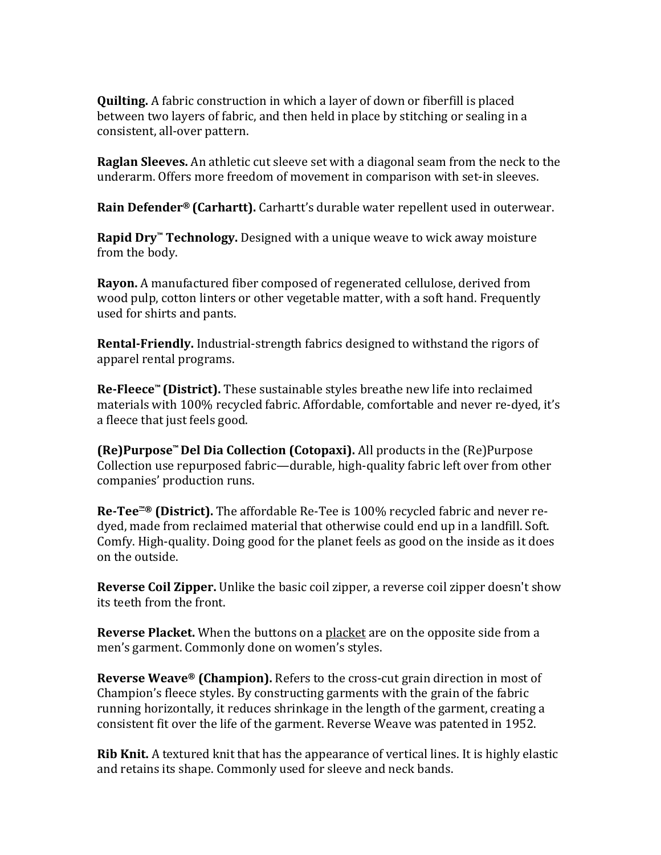**Quilting.** A fabric construction in which a layer of down or fiberfill is placed between two layers of fabric, and then held in place by stitching or sealing in a consistent, all-over pattern.

**Raglan Sleeves.** An athletic cut sleeve set with a diagonal seam from the neck to the underarm. Offers more freedom of movement in comparison with set-in sleeves.

**Rain Defender® (Carhartt).** Carhartt's durable water repellent used in outerwear.

**Rapid Dry<sup>™</sup> Technology.** Designed with a unique weave to wick away moisture from the body.

**Rayon.** A manufactured fiber composed of regenerated cellulose, derived from wood pulp, cotton linters or other vegetable matter, with a soft hand. Frequently used for shirts and pants.

**Rental-Friendly.** Industrial-strength fabrics designed to withstand the rigors of apparel rental programs.

**Re-Fleece™** (District). These sustainable styles breathe new life into reclaimed materials with 100% recycled fabric. Affordable, comfortable and never re-dyed, it's a fleece that just feels good.

**(Re)Purpose™ Del Dia Collection (Cotopaxi).** All products in the (Re)Purpose Collection use repurposed fabric—durable, high-quality fabric left over from other companies' production runs.

**Re-Tee<sup>™®</sup> (District).** The affordable Re-Tee is 100% recycled fabric and never redyed, made from reclaimed material that otherwise could end up in a landfill. Soft. Comfy. High-quality. Doing good for the planet feels as good on the inside as it does on the outside.

**Reverse Coil Zipper.** Unlike the basic coil zipper, a reverse coil zipper doesn't show its teeth from the front.

**Reverse Placket.** When the buttons on a placket are on the opposite side from a men's garment. Commonly done on women's styles.

**Reverse Weave<sup>®</sup> (Champion).** Refers to the cross-cut grain direction in most of Champion's fleece styles. By constructing garments with the grain of the fabric running horizontally, it reduces shrinkage in the length of the garment, creating a consistent fit over the life of the garment. Reverse Weave was patented in 1952.

**Rib Knit.** A textured knit that has the appearance of vertical lines. It is highly elastic and retains its shape. Commonly used for sleeve and neck bands.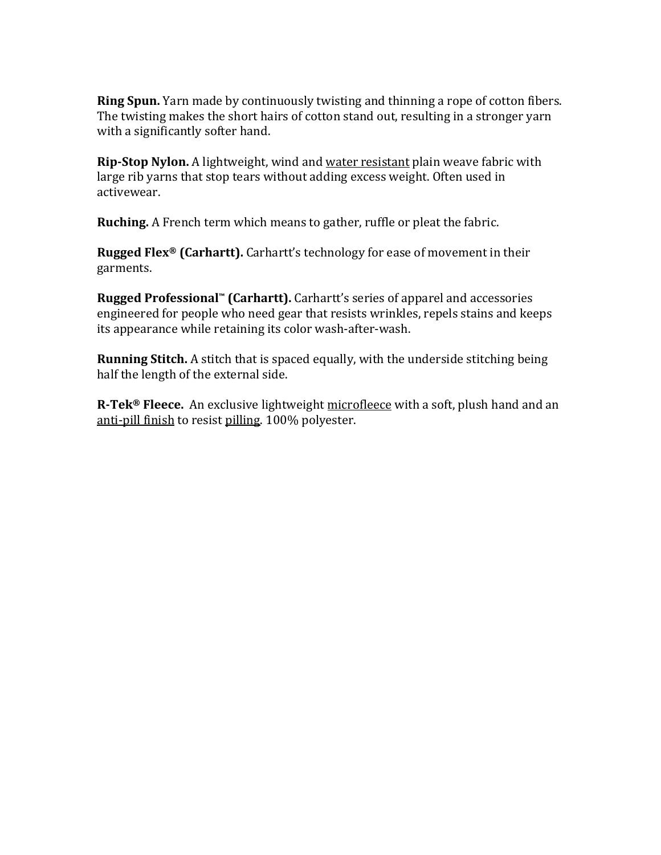**Ring Spun.** Yarn made by continuously twisting and thinning a rope of cotton fibers. The twisting makes the short hairs of cotton stand out, resulting in a stronger yarn with a significantly softer hand.

**Rip-Stop Nylon.** A lightweight, wind and water resistant plain weave fabric with large rib yarns that stop tears without adding excess weight. Often used in activewear.

**Ruching.** A French term which means to gather, ruffle or pleat the fabric.

**Rugged Flex<sup>®</sup> (Carhartt).** Carhartt's technology for ease of movement in their garments.

**Rugged Professional™ (Carhartt).** Carhartt's series of apparel and accessories engineered for people who need gear that resists wrinkles, repels stains and keeps its appearance while retaining its color wash-after-wash.

**Running Stitch.** A stitch that is spaced equally, with the underside stitching being half the length of the external side.

**R-Tek<sup>®</sup> Fleece.** An exclusive lightweight microfleece with a soft, plush hand and an anti-pill finish to resist pilling. 100% polyester.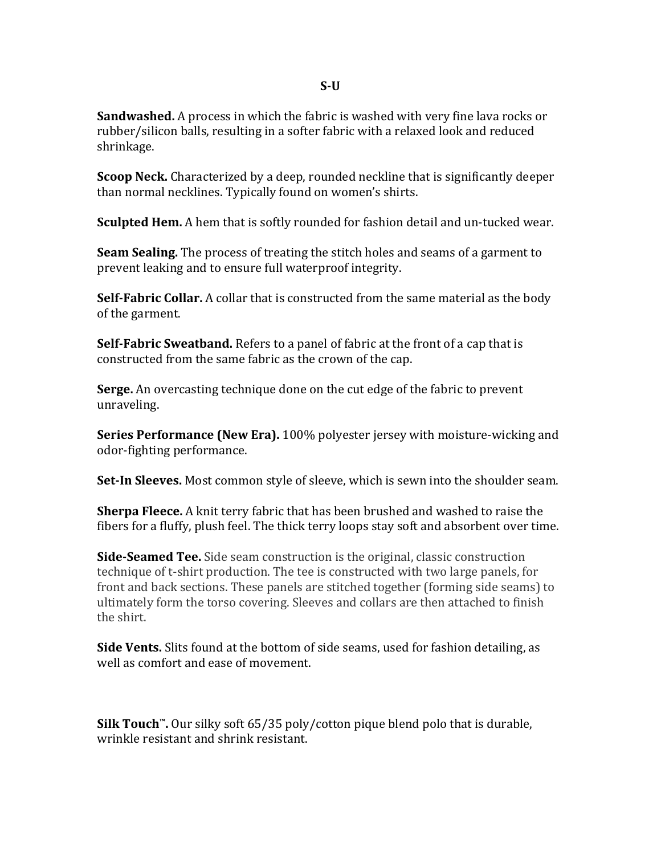**Sandwashed.** A process in which the fabric is washed with very fine lava rocks or rubber/silicon balls, resulting in a softer fabric with a relaxed look and reduced shrinkage.

**Scoop Neck.** Characterized by a deep, rounded neckline that is significantly deeper than normal necklines. Typically found on women's shirts.

**Sculpted Hem.** A hem that is softly rounded for fashion detail and un-tucked wear.

**Seam Sealing.** The process of treating the stitch holes and seams of a garment to prevent leaking and to ensure full waterproof integrity.

**Self-Fabric Collar.** A collar that is constructed from the same material as the body of the garment.

**Self-Fabric Sweatband.** Refers to a panel of fabric at the front of a cap that is constructed from the same fabric as the crown of the cap.

**Serge.** An overcasting technique done on the cut edge of the fabric to prevent unraveling.

**Series Performance (New Era).** 100% polyester jersey with moisture-wicking and odor-fighting performance.

**Set-In Sleeves.** Most common style of sleeve, which is sewn into the shoulder seam.

**Sherpa Fleece.** A knit terry fabric that has been brushed and washed to raise the fibers for a fluffy, plush feel. The thick terry loops stay soft and absorbent over time.

**Side-Seamed Tee.** Side seam construction is the original, classic construction technique of t-shirt production. The tee is constructed with two large panels, for front and back sections. These panels are stitched together (forming side seams) to ultimately form the torso covering. Sleeves and collars are then attached to finish the shirt.

**Side Vents.** Slits found at the bottom of side seams, used for fashion detailing, as well as comfort and ease of movement.

**Silk Touch<sup>™</sup>.** Our silky soft 65/35 poly/cotton pique blend polo that is durable, wrinkle resistant and shrink resistant.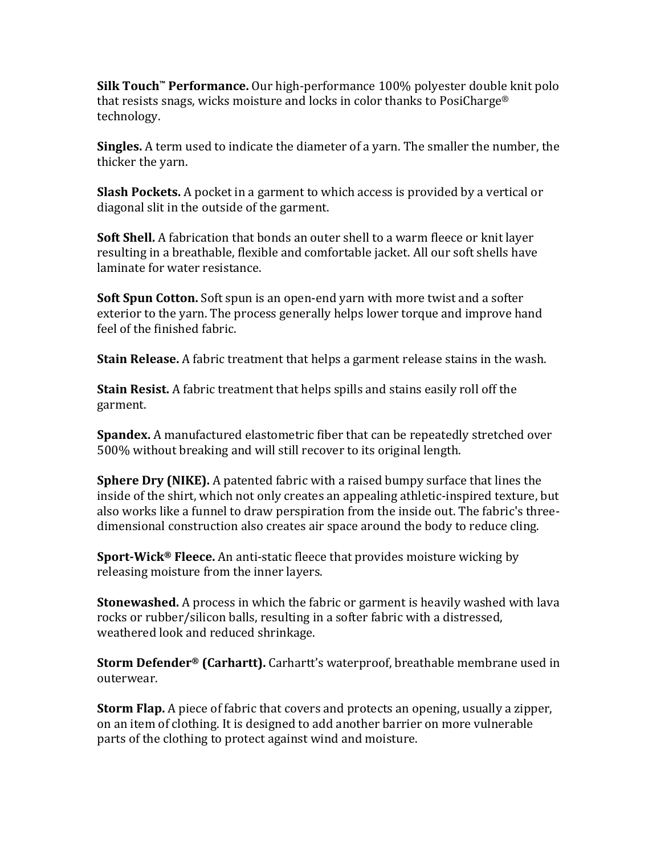**Silk Touch™ Performance.** Our high-performance 100% polyester double knit polo that resists snags, wicks moisture and locks in color thanks to PosiCharge® technology.

**Singles.** A term used to indicate the diameter of a yarn. The smaller the number, the thicker the yarn.

**Slash Pockets.** A pocket in a garment to which access is provided by a vertical or diagonal slit in the outside of the garment.

**Soft Shell.** A fabrication that bonds an outer shell to a warm fleece or knit layer resulting in a breathable, flexible and comfortable jacket. All our soft shells have laminate for water resistance.

**Soft Spun Cotton.** Soft spun is an open-end yarn with more twist and a softer exterior to the yarn. The process generally helps lower torque and improve hand feel of the finished fabric.

**Stain Release.** A fabric treatment that helps a garment release stains in the wash.

**Stain Resist.** A fabric treatment that helps spills and stains easily roll off the garment.

**Spandex.** A manufactured elastometric fiber that can be repeatedly stretched over 500% without breaking and will still recover to its original length.

**Sphere Dry (NIKE).** A patented fabric with a raised bumpy surface that lines the inside of the shirt, which not only creates an appealing athletic-inspired texture, but also works like a funnel to draw perspiration from the inside out. The fabric's threedimensional construction also creates air space around the body to reduce cling.

**Sport-Wick<sup>®</sup> Fleece.** An anti-static fleece that provides moisture wicking by releasing moisture from the inner layers.

**Stonewashed.** A process in which the fabric or garment is heavily washed with lava rocks or rubber/silicon balls, resulting in a softer fabric with a distressed, weathered look and reduced shrinkage.

**Storm Defender<sup>®</sup> (Carhartt).** Carhartt's waterproof, breathable membrane used in outerwear.

**Storm Flap.** A piece of fabric that covers and protects an opening, usually a zipper, on an item of clothing. It is designed to add another barrier on more vulnerable parts of the clothing to protect against wind and moisture.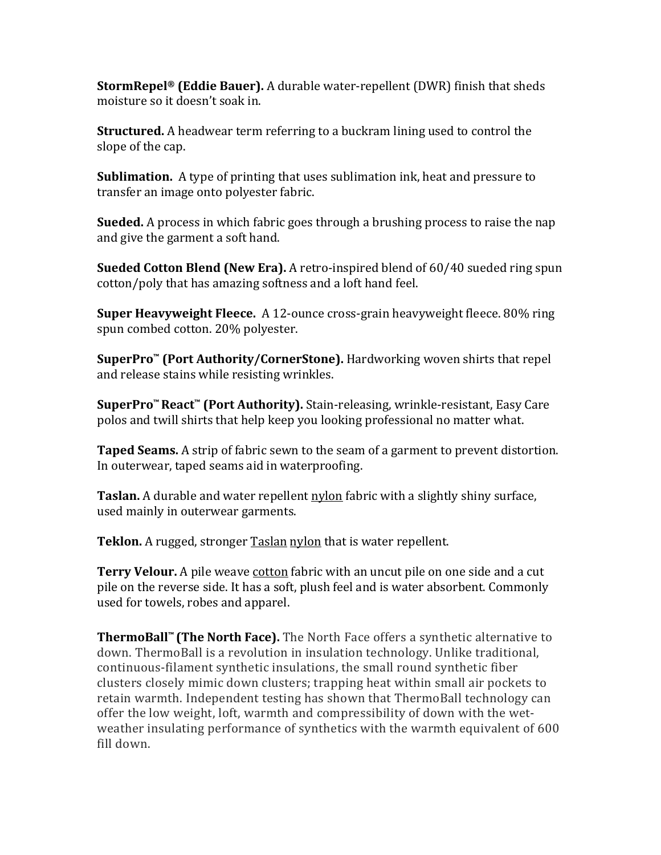**StormRepel<sup>®</sup> (Eddie Bauer).** A durable water-repellent (DWR) finish that sheds moisture so it doesn't soak in.

**Structured.** A headwear term referring to a buckram lining used to control the slope of the cap.

**Sublimation.** A type of printing that uses sublimation ink, heat and pressure to transfer an image onto polyester fabric.

**Sueded.** A process in which fabric goes through a brushing process to raise the nap and give the garment a soft hand.

**Sueded Cotton Blend (New Era).** A retro-inspired blend of 60/40 sueded ring spun cotton/poly that has amazing softness and a loft hand feel.

**Super Heavyweight Fleece.** A 12-ounce cross-grain heavyweight fleece. 80% ring spun combed cotton. 20% polyester.

**SuperPro™** (Port Authority/CornerStone). Hardworking woven shirts that repel and release stains while resisting wrinkles.

**SuperPro™React™ (Port Authority).** Stain-releasing, wrinkle-resistant, Easy Care polos and twill shirts that help keep you looking professional no matter what.

**Taped Seams.** A strip of fabric sewn to the seam of a garment to prevent distortion. In outerwear, taped seams aid in waterproofing.

**Taslan.** A durable and water repellent **nylon** fabric with a slightly shiny surface, used mainly in outerwear garments.

**Teklon.** A rugged, stronger **Taslan nylon** that is water repellent.

**Terry Velour.** A pile weave cotton fabric with an uncut pile on one side and a cut pile on the reverse side. It has a soft, plush feel and is water absorbent. Commonly used for towels, robes and apparel.

**ThermoBall™** (The North Face). The North Face offers a synthetic alternative to down. ThermoBall is a revolution in insulation technology. Unlike traditional, continuous-filament synthetic insulations, the small round synthetic fiber clusters closely mimic down clusters; trapping heat within small air pockets to retain warmth. Independent testing has shown that ThermoBall technology can offer the low weight, loft, warmth and compressibility of down with the wetweather insulating performance of synthetics with the warmth equivalent of 600 fill down.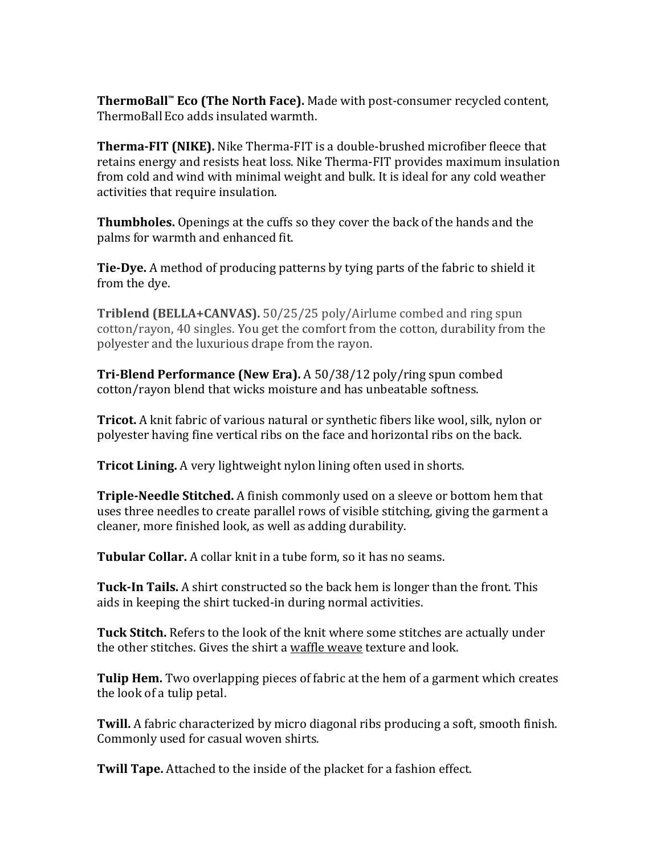**ThermoBall™ Eco** (The North Face). Made with post-consumer recycled content, ThermoBall Eco adds insulated warmth.

**Therma-FIT (NIKE).** Nike Therma-FIT is a double-brushed microfiber fleece that retains energy and resists heat loss. Nike Therma-FIT provides maximum insulation from cold and wind with minimal weight and bulk. It is ideal for any cold weather activities that require insulation.

**Thumbholes.** Openings at the cuffs so they cover the back of the hands and the palms for warmth and enhanced fit.

**Tie-Dye.** A method of producing patterns by tying parts of the fabric to shield it from the dye.

**Triblend (BELLA+CANVAS).** 50/25/25 poly/Airlume combed and ring spun cotton/rayon, 40 singles. You get the comfort from the cotton, durability from the polyester and the luxurious drape from the rayon.

**Tri-Blend Performance (New Era).** A 50/38/12 poly/ring spun combed cotton/rayon blend that wicks moisture and has unbeatable softness.

**Tricot.** A knit fabric of various natural or synthetic fibers like wool, silk, nylon or polyester having fine vertical ribs on the face and horizontal ribs on the back.

**Tricot Lining.** A very lightweight nylon lining often used in shorts.

**Triple-Needle Stitched.** A finish commonly used on a sleeve or bottom hem that uses three needles to create parallel rows of visible stitching, giving the garment a cleaner, more finished look, as well as adding durability.

**Tubular Collar.** A collar knit in a tube form, so it has no seams.

**Tuck-In Tails.** A shirt constructed so the back hem is longer than the front. This aids in keeping the shirt tucked-in during normal activities.

**Tuck Stitch.** Refers to the look of the knit where some stitches are actually under the other stitches. Gives the shirt a waffle weave texture and look.

**Tulip Hem.** Two overlapping pieces of fabric at the hem of a garment which creates the look of a tulip petal.

**Twill.** A fabric characterized by micro diagonal ribs producing a soft, smooth finish. Commonly used for casual woven shirts.

**Twill Tape.** Attached to the inside of the placket for a fashion effect.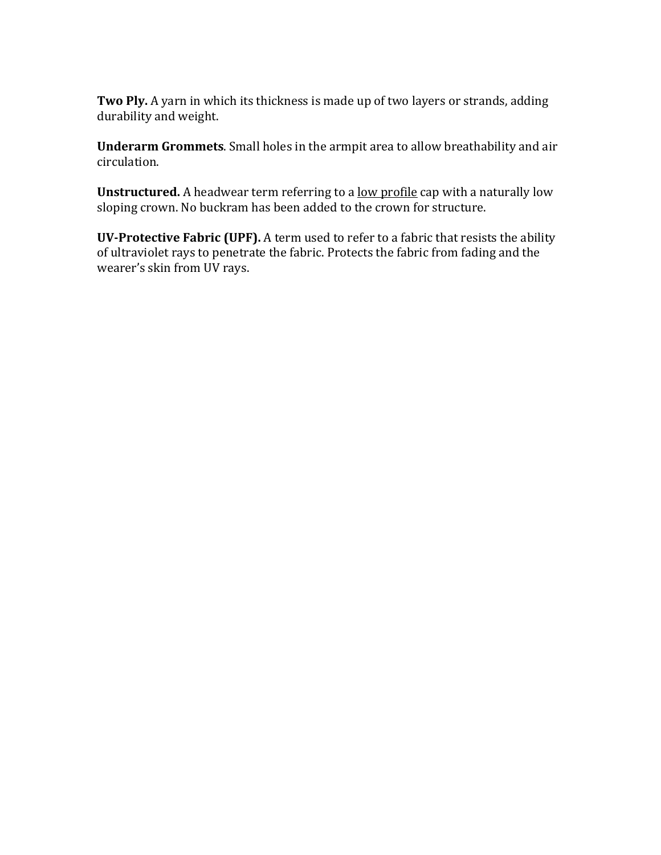**Two Ply.** A yarn in which its thickness is made up of two layers or strands, adding durability and weight.

**Underarm Grommets**. Small holes in the armpit area to allow breathability and air circulation.

**Unstructured.** A headwear term referring to a low profile cap with a naturally low sloping crown. No buckram has been added to the crown for structure.

**UV-Protective Fabric (UPF).** A term used to refer to a fabric that resists the ability of ultraviolet rays to penetrate the fabric. Protects the fabric from fading and the wearer's skin from UV rays.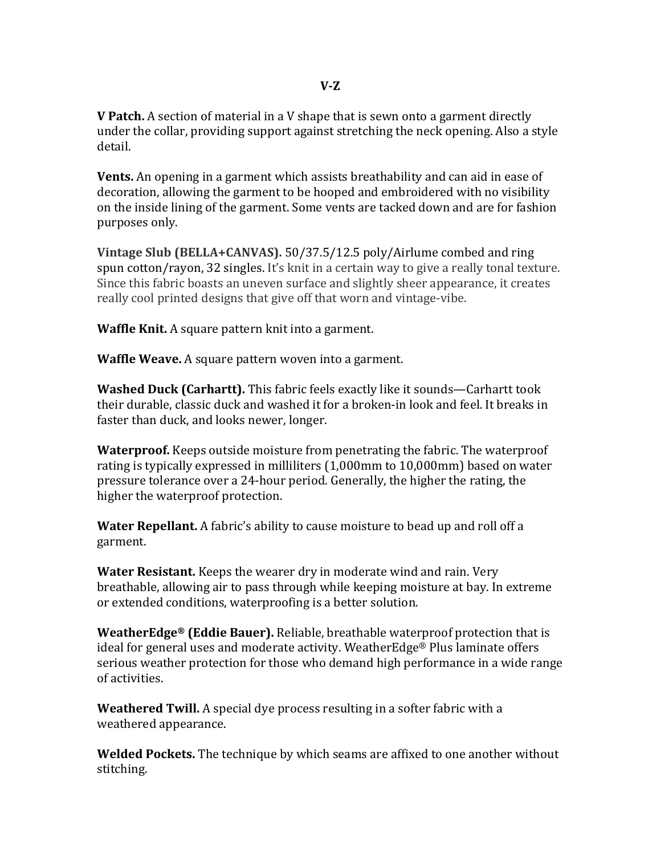**V** Patch. A section of material in a V shape that is sewn onto a garment directly under the collar, providing support against stretching the neck opening. Also a style detail.

**Vents.** An opening in a garment which assists breathability and can aid in ease of decoration, allowing the garment to be hooped and embroidered with no visibility on the inside lining of the garment. Some vents are tacked down and are for fashion purposes only.

**Vintage Slub (BELLA+CANVAS).** 50/37.5/12.5 poly/Airlume combed and ring spun cotton/rayon, 32 singles. It's knit in a certain way to give a really tonal texture. Since this fabric boasts an uneven surface and slightly sheer appearance, it creates really cool printed designs that give off that worn and vintage-vibe.

**Waffle Knit.** A square pattern knit into a garment.

**Waffle Weave.** A square pattern woven into a garment.

**Washed Duck (Carhartt).** This fabric feels exactly like it sounds—Carhartt took their durable, classic duck and washed it for a broken-in look and feel. It breaks in faster than duck, and looks newer, longer.

**Waterproof.** Keeps outside moisture from penetrating the fabric. The waterproof rating is typically expressed in milliliters  $(1,000$ mm to  $10,000$ mm) based on water pressure tolerance over a 24-hour period. Generally, the higher the rating, the higher the waterproof protection.

**Water Repellant.** A fabric's ability to cause moisture to bead up and roll off a garment. 

**Water Resistant.** Keeps the wearer dry in moderate wind and rain. Very breathable, allowing air to pass through while keeping moisture at bay. In extreme or extended conditions, waterproofing is a better solution.

**WeatherEdge®** (Eddie Bauer). Reliable, breathable waterproof protection that is ideal for general uses and moderate activity. WeatherEdge® Plus laminate offers serious weather protection for those who demand high performance in a wide range of activities.

**Weathered Twill.** A special dye process resulting in a softer fabric with a weathered appearance.

**Welded Pockets.** The technique by which seams are affixed to one another without stitching.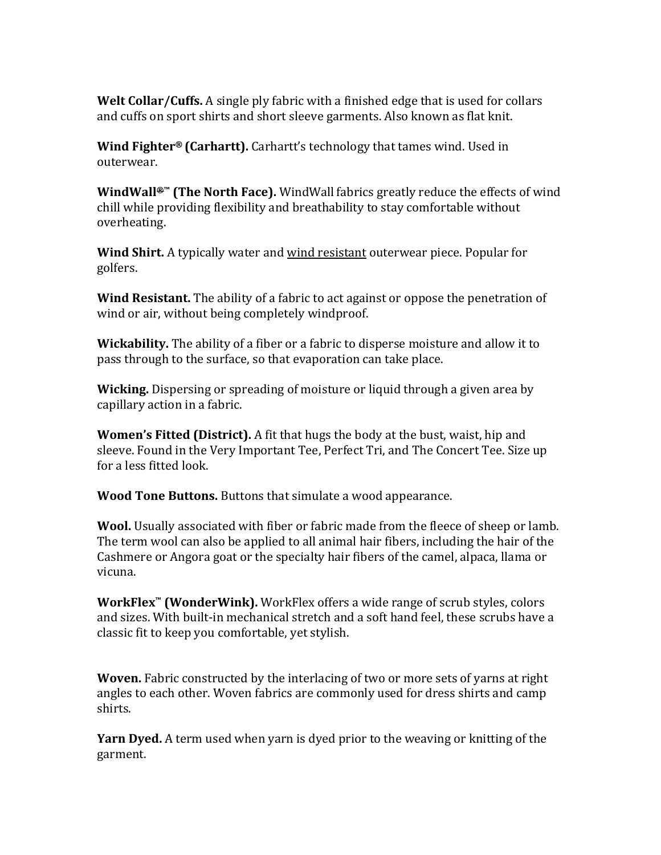**Welt Collar/Cuffs.** A single ply fabric with a finished edge that is used for collars and cuffs on sport shirts and short sleeve garments. Also known as flat knit.

**Wind Fighter® (Carhartt).** Carhartt's technology that tames wind. Used in outerwear.

**WindWall<sup>⊕™</sup> (The North Face).** WindWall fabrics greatly reduce the effects of wind chill while providing flexibility and breathability to stay comfortable without overheating.

**Wind Shirt.** A typically water and wind resistant outerwear piece. Popular for golfers. 

**Wind Resistant.** The ability of a fabric to act against or oppose the penetration of wind or air, without being completely windproof.

**Wickability.** The ability of a fiber or a fabric to disperse moisture and allow it to pass through to the surface, so that evaporation can take place.

**Wicking.** Dispersing or spreading of moisture or liquid through a given area by capillary action in a fabric.

**Women's Fitted (District).** A fit that hugs the body at the bust, waist, hip and sleeve. Found in the Very Important Tee, Perfect Tri, and The Concert Tee. Size up for a less fitted look.

**Wood Tone Buttons.** Buttons that simulate a wood appearance.

**Wool.** Usually associated with fiber or fabric made from the fleece of sheep or lamb. The term wool can also be applied to all animal hair fibers, including the hair of the Cashmere or Angora goat or the specialty hair fibers of the camel, alpaca, llama or vicuna. 

**WorkFlex<sup>™</sup> (WonderWink).** WorkFlex offers a wide range of scrub styles, colors and sizes. With built-in mechanical stretch and a soft hand feel, these scrubs have a classic fit to keep you comfortable, yet stylish.

**Woven.** Fabric constructed by the interlacing of two or more sets of varns at right angles to each other. Woven fabrics are commonly used for dress shirts and camp shirts. 

**Yarn Dyed.** A term used when yarn is dyed prior to the weaving or knitting of the garment.